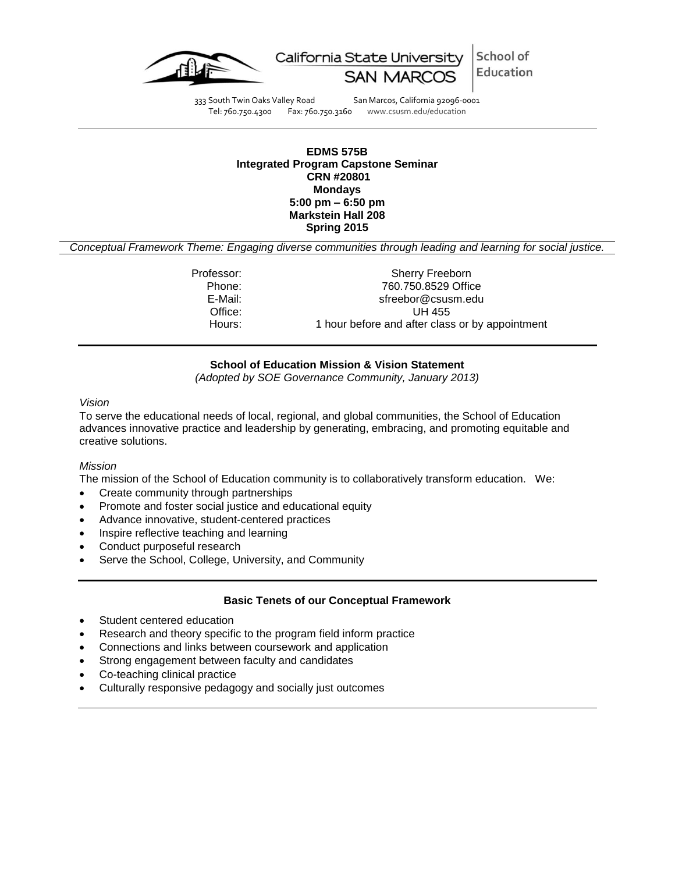



333 South Twin Oaks Valley Road San Marcos, California 92096-0001<br>Tel: 760.750.4300 Fax: 760.750.3160 www.csusm.edu/education Fax: 760.750.3160 www.csusm.edu/education

### **EDMS 575B Integrated Program Capstone Seminar CRN #20801 Mondays 5:00 pm – 6:50 pm Markstein Hall 208 Spring 2015**

*Conceptual Framework Theme: Engaging diverse communities through leading and learning for social justice.*

Professor: Sherry Freeborn Phone: 760.750.8529 Office E-Mail: sfreebor@csusm.edu Office: UH 455 Hours: 1 hour before and after class or by appointment

# **School of Education Mission & Vision Statement**

*(Adopted by SOE Governance Community, January 2013)*

#### *Vision*

To serve the educational needs of local, regional, and global communities, the School of Education advances innovative practice and leadership by generating, embracing, and promoting equitable and creative solutions.

### *Mission*

The mission of the School of Education community is to collaboratively transform education. We:

- Create community through partnerships
- Promote and foster social justice and educational equity
- Advance innovative, student-centered practices
- Inspire reflective teaching and learning
- Conduct purposeful research
- Serve the School, College, University, and Community

### **Basic Tenets of our Conceptual Framework**

- Student centered education
- Research and theory specific to the program field inform practice
- Connections and links between coursework and application
- Strong engagement between faculty and candidates
- Co-teaching clinical practice
- Culturally responsive pedagogy and socially just outcomes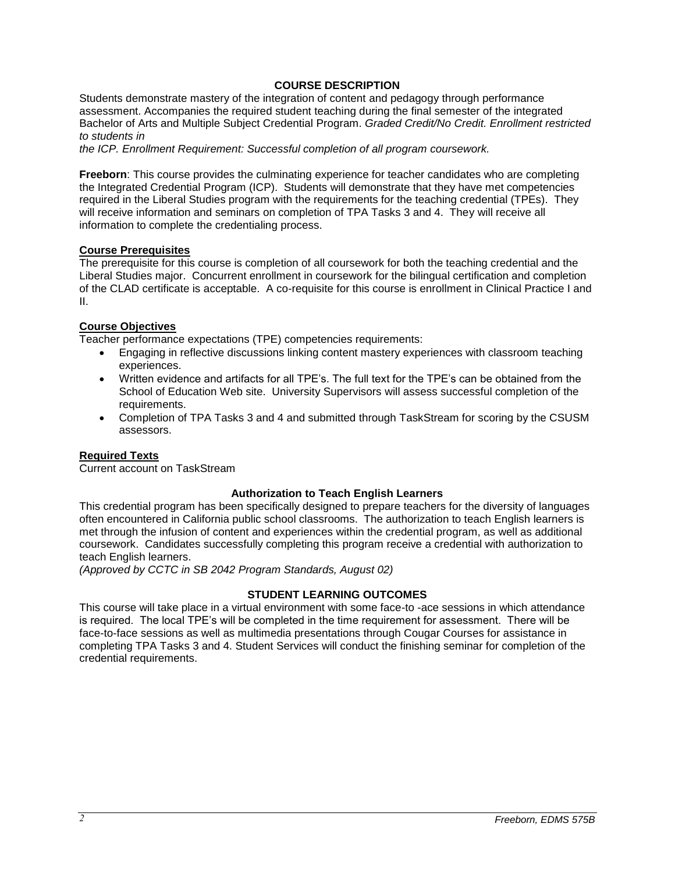## **COURSE DESCRIPTION**

Students demonstrate mastery of the integration of content and pedagogy through performance assessment. Accompanies the required student teaching during the final semester of the integrated Bachelor of Arts and Multiple Subject Credential Program. *Graded Credit/No Credit. Enrollment restricted to students in*

*the ICP. Enrollment Requirement: Successful completion of all program coursework.*

**Freeborn**: This course provides the culminating experience for teacher candidates who are completing the Integrated Credential Program (ICP). Students will demonstrate that they have met competencies required in the Liberal Studies program with the requirements for the teaching credential (TPEs). They will receive information and seminars on completion of TPA Tasks 3 and 4. They will receive all information to complete the credentialing process.

# **Course Prerequisites**

The prerequisite for this course is completion of all coursework for both the teaching credential and the Liberal Studies major. Concurrent enrollment in coursework for the bilingual certification and completion of the CLAD certificate is acceptable. A co-requisite for this course is enrollment in Clinical Practice I and II.

## **Course Objectives**

Teacher performance expectations (TPE) competencies requirements:

- Engaging in reflective discussions linking content mastery experiences with classroom teaching experiences.
- Written evidence and artifacts for all TPE's. The full text for the TPE's can be obtained from the School of Education Web site. University Supervisors will assess successful completion of the requirements.
- Completion of TPA Tasks 3 and 4 and submitted through TaskStream for scoring by the CSUSM assessors.

### **Required Texts**

Current account on TaskStream

## **Authorization to Teach English Learners**

This credential program has been specifically designed to prepare teachers for the diversity of languages often encountered in California public school classrooms. The authorization to teach English learners is met through the infusion of content and experiences within the credential program, as well as additional coursework. Candidates successfully completing this program receive a credential with authorization to teach English learners.

*(Approved by CCTC in SB 2042 Program Standards, August 02)*

## **STUDENT LEARNING OUTCOMES**

This course will take place in a virtual environment with some face-to -ace sessions in which attendance is required. The local TPE's will be completed in the time requirement for assessment. There will be face-to-face sessions as well as multimedia presentations through Cougar Courses for assistance in completing TPA Tasks 3 and 4. Student Services will conduct the finishing seminar for completion of the credential requirements.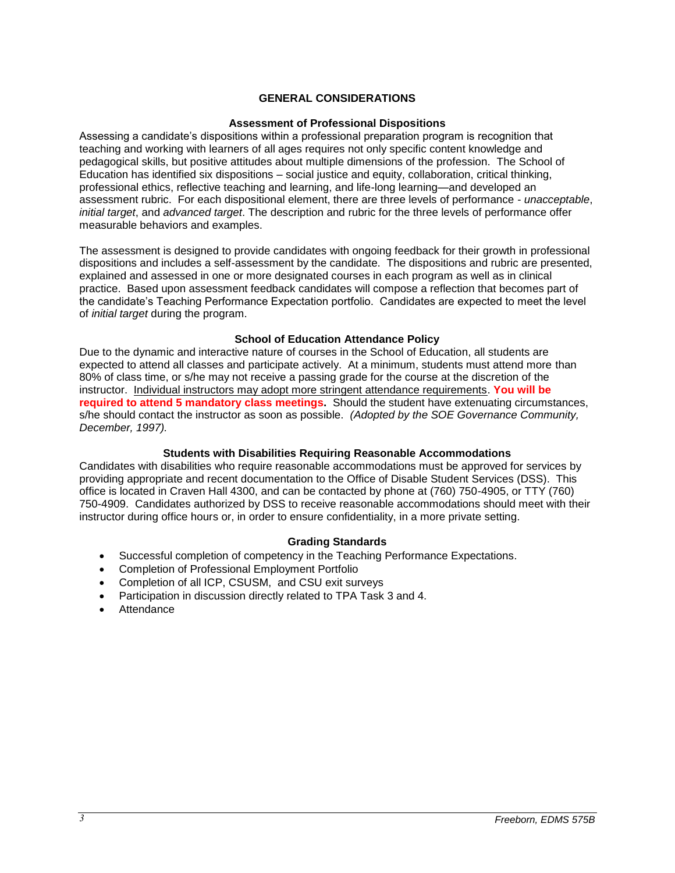## **GENERAL CONSIDERATIONS**

### **Assessment of Professional Dispositions**

Assessing a candidate's dispositions within a professional preparation program is recognition that teaching and working with learners of all ages requires not only specific content knowledge and pedagogical skills, but positive attitudes about multiple dimensions of the profession. The School of Education has identified six dispositions – social justice and equity, collaboration, critical thinking, professional ethics, reflective teaching and learning, and life-long learning—and developed an assessment rubric. For each dispositional element, there are three levels of performance - *unacceptable*, *initial target*, and *advanced target*. The description and rubric for the three levels of performance offer measurable behaviors and examples.

The assessment is designed to provide candidates with ongoing feedback for their growth in professional dispositions and includes a self-assessment by the candidate. The dispositions and rubric are presented, explained and assessed in one or more designated courses in each program as well as in clinical practice. Based upon assessment feedback candidates will compose a reflection that becomes part of the candidate's Teaching Performance Expectation portfolio. Candidates are expected to meet the level of *initial target* during the program.

#### **School of Education Attendance Policy**

Due to the dynamic and interactive nature of courses in the School of Education, all students are expected to attend all classes and participate actively. At a minimum, students must attend more than 80% of class time, or s/he may not receive a passing grade for the course at the discretion of the instructor. Individual instructors may adopt more stringent attendance requirements. **You will be required to attend 5 mandatory class meetings.** Should the student have extenuating circumstances, s/he should contact the instructor as soon as possible. *(Adopted by the SOE Governance Community, December, 1997).*

### **Students with Disabilities Requiring Reasonable Accommodations**

Candidates with disabilities who require reasonable accommodations must be approved for services by providing appropriate and recent documentation to the Office of Disable Student Services (DSS). This office is located in Craven Hall 4300, and can be contacted by phone at (760) 750-4905, or TTY (760) 750-4909. Candidates authorized by DSS to receive reasonable accommodations should meet with their instructor during office hours or, in order to ensure confidentiality, in a more private setting.

### **Grading Standards**

- Successful completion of competency in the Teaching Performance Expectations.
- Completion of Professional Employment Portfolio
- Completion of all ICP, CSUSM, and CSU exit surveys
- Participation in discussion directly related to TPA Task 3 and 4.
- Attendance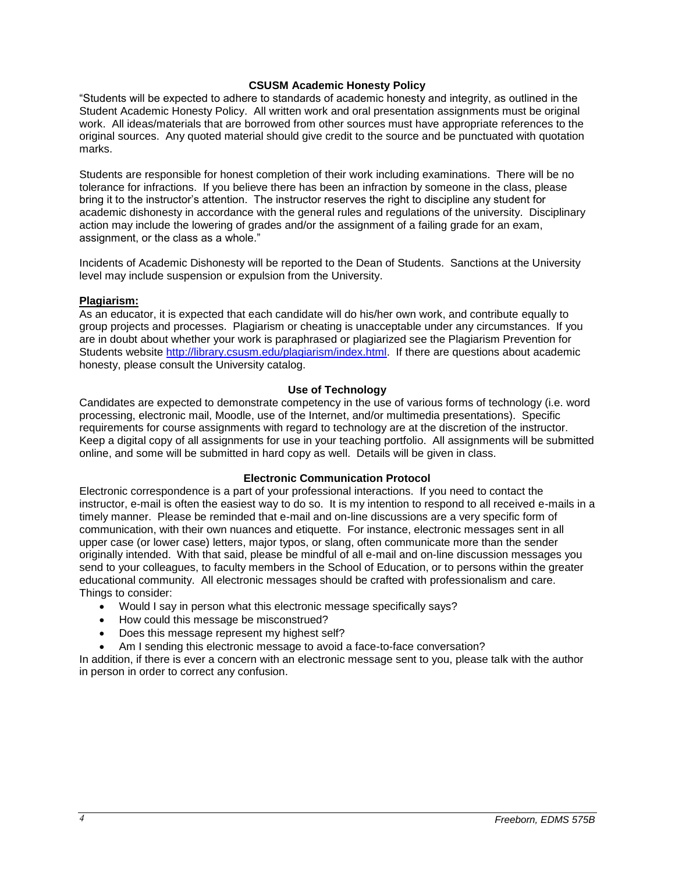## **CSUSM Academic Honesty Policy**

"Students will be expected to adhere to standards of academic honesty and integrity, as outlined in the Student Academic Honesty Policy. All written work and oral presentation assignments must be original work. All ideas/materials that are borrowed from other sources must have appropriate references to the original sources. Any quoted material should give credit to the source and be punctuated with quotation marks.

Students are responsible for honest completion of their work including examinations. There will be no tolerance for infractions. If you believe there has been an infraction by someone in the class, please bring it to the instructor's attention. The instructor reserves the right to discipline any student for academic dishonesty in accordance with the general rules and regulations of the university. Disciplinary action may include the lowering of grades and/or the assignment of a failing grade for an exam, assignment, or the class as a whole."

Incidents of Academic Dishonesty will be reported to the Dean of Students. Sanctions at the University level may include suspension or expulsion from the University.

### **Plagiarism:**

As an educator, it is expected that each candidate will do his/her own work, and contribute equally to group projects and processes. Plagiarism or cheating is unacceptable under any circumstances. If you are in doubt about whether your work is paraphrased or plagiarized see the Plagiarism Prevention for Students website [http://library.csusm.edu/plagiarism/index.html.](http://library.csusm.edu/plagiarism/index.html) If there are questions about academic honesty, please consult the University catalog.

## **Use of Technology**

Candidates are expected to demonstrate competency in the use of various forms of technology (i.e. word processing, electronic mail, Moodle, use of the Internet, and/or multimedia presentations). Specific requirements for course assignments with regard to technology are at the discretion of the instructor. Keep a digital copy of all assignments for use in your teaching portfolio. All assignments will be submitted online, and some will be submitted in hard copy as well. Details will be given in class.

## **Electronic Communication Protocol**

Electronic correspondence is a part of your professional interactions. If you need to contact the instructor, e-mail is often the easiest way to do so. It is my intention to respond to all received e-mails in a timely manner. Please be reminded that e-mail and on-line discussions are a very specific form of communication, with their own nuances and etiquette. For instance, electronic messages sent in all upper case (or lower case) letters, major typos, or slang, often communicate more than the sender originally intended. With that said, please be mindful of all e-mail and on-line discussion messages you send to your colleagues, to faculty members in the School of Education, or to persons within the greater educational community. All electronic messages should be crafted with professionalism and care. Things to consider:

- Would I say in person what this electronic message specifically says?
- How could this message be misconstrued?
- Does this message represent my highest self?
- Am I sending this electronic message to avoid a face-to-face conversation?

In addition, if there is ever a concern with an electronic message sent to you, please talk with the author in person in order to correct any confusion.